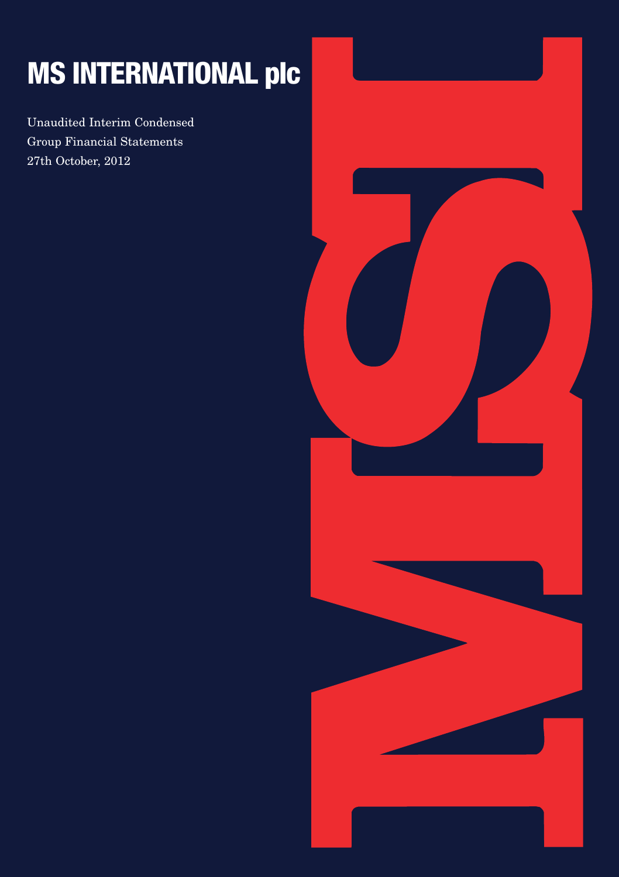# **MS INTERNATIONAL plc**

Unaudited Interim Condensed Group Financial Statements 27th October, 2012

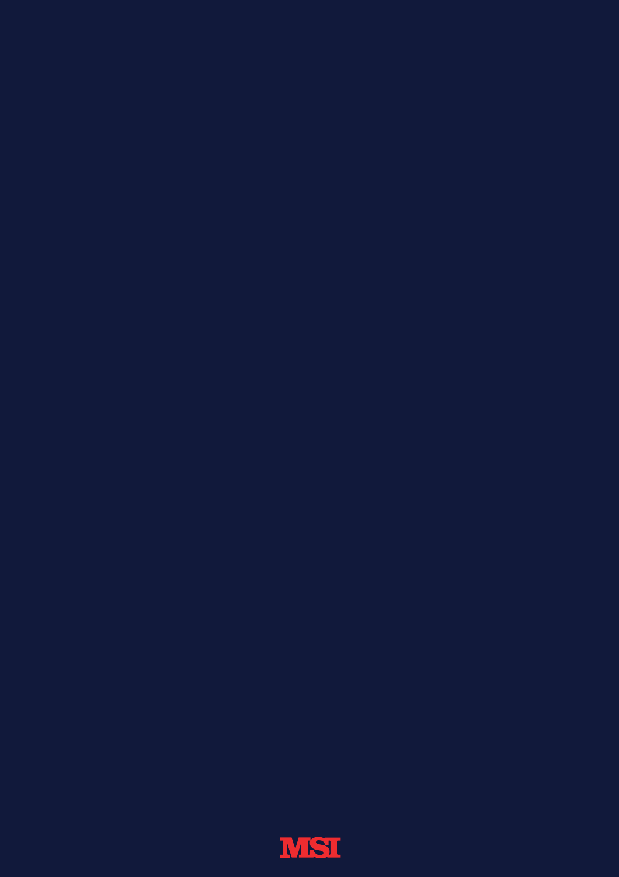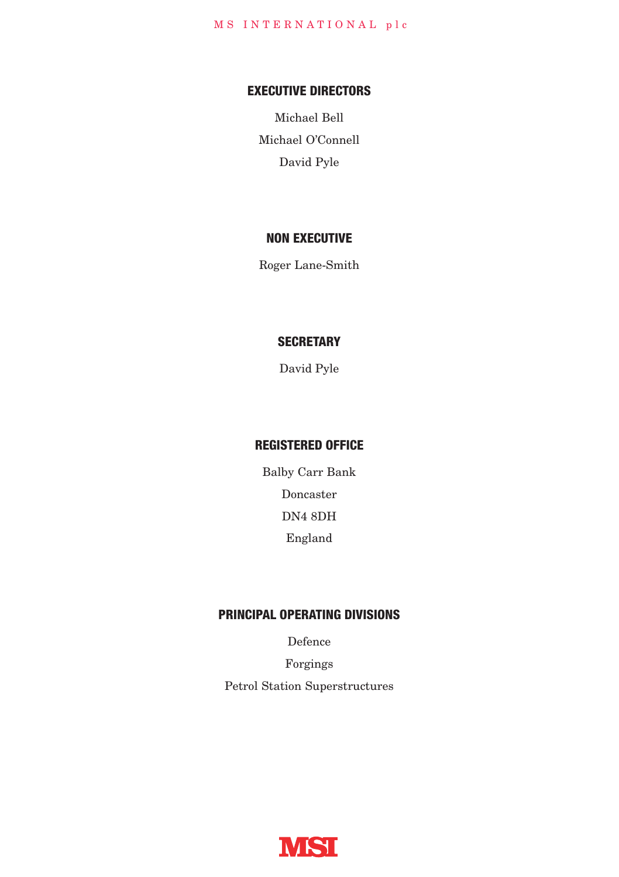### **EXECUTIVE DIRECTORS**

Michael Bell Michael O'Connell David Pyle

### **NON EXECUTIVE**

Roger Lane-Smith

## **SECRETARY**

David Pyle

### **REGISTERED OFFICE**

Balby Carr Bank Doncaster DN4 8DH England

### **PRINCIPAL OPERATING DIVISIONS**

Defence

Forgings Petrol Station Superstructures

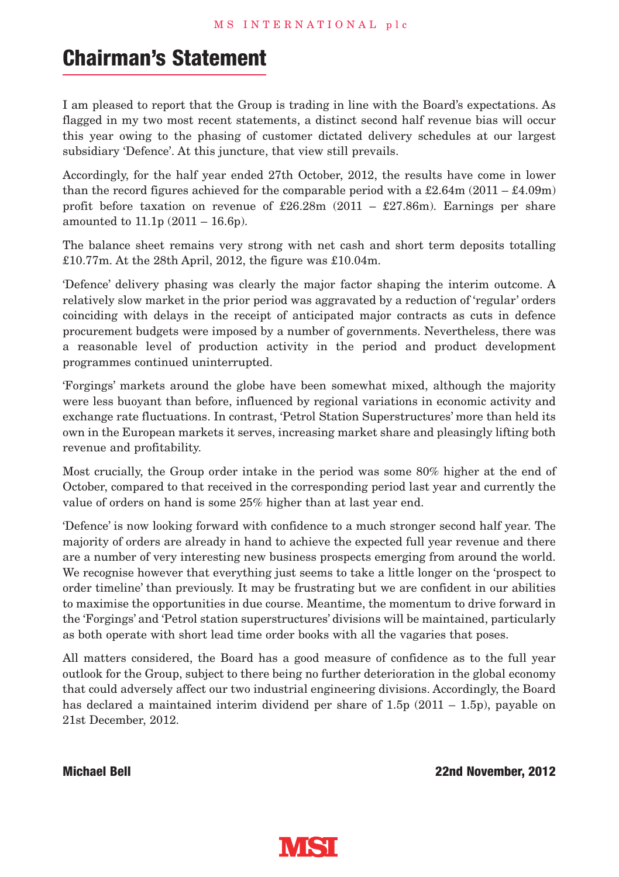# **Chairman's Statement**

I am pleased to report that the Group is trading in line with the Board's expectations. As flagged in my two most recent statements, a distinct second half revenue bias will occur this year owing to the phasing of customer dictated delivery schedules at our largest subsidiary 'Defence'. At this juncture, that view still prevails.

Accordingly, for the half year ended 27th October, 2012, the results have come in lower than the record figures achieved for the comparable period with a £2.64m (2011 – £4.09m) profit before taxation on revenue of £26.28m (2011 – £27.86m). Earnings per share amounted to 11.1p (2011 – 16.6p).

The balance sheet remains very strong with net cash and short term deposits totalling £10.77m. At the 28th April, 2012, the figure was £10.04m.

'Defence' delivery phasing was clearly the major factor shaping the interim outcome. A relatively slow market in the prior period was aggravated by a reduction of 'regular' orders coinciding with delays in the receipt of anticipated major contracts as cuts in defence procurement budgets were imposed by a number of governments. Nevertheless, there was a reasonable level of production activity in the period and product development programmes continued uninterrupted.

'Forgings' markets around the globe have been somewhat mixed, although the majority were less buoyant than before, influenced by regional variations in economic activity and exchange rate fluctuations. In contrast, 'Petrol Station Superstructures' more than held its own in the European markets it serves, increasing market share and pleasingly lifting both revenue and profitability.

Most crucially, the Group order intake in the period was some 80% higher at the end of October, compared to that received in the corresponding period last year and currently the value of orders on hand is some 25% higher than at last year end.

'Defence' is now looking forward with confidence to a much stronger second half year. The majority of orders are already in hand to achieve the expected full year revenue and there are a number of very interesting new business prospects emerging from around the world. We recognise however that everything just seems to take a little longer on the 'prospect to order timeline' than previously. It may be frustrating but we are confident in our abilities to maximise the opportunities in due course. Meantime, the momentum to drive forward in the 'Forgings' and 'Petrol station superstructures' divisions will be maintained, particularly as both operate with short lead time order books with all the vagaries that poses.

All matters considered, the Board has a good measure of confidence as to the full year outlook for the Group, subject to there being no further deterioration in the global economy that could adversely affect our two industrial engineering divisions. Accordingly, the Board has declared a maintained interim dividend per share of  $1.5p(2011 - 1.5p)$ , payable on 21st December, 2012.

**Michael Bell 22nd November, 2012**

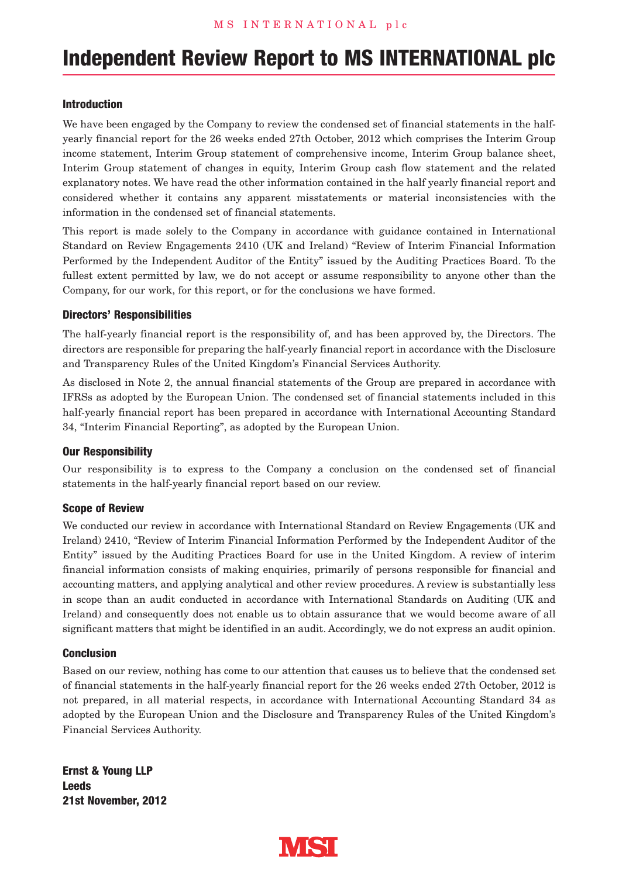## **Independent Review Report to MS INTERNATIONAL plc**

#### **Introduction**

We have been engaged by the Company to review the condensed set of financial statements in the halfyearly financial report for the 26 weeks ended 27th October, 2012 which comprises the Interim Group income statement, Interim Group statement of comprehensive income, Interim Group balance sheet, Interim Group statement of changes in equity, Interim Group cash flow statement and the related explanatory notes. We have read the other information contained in the half yearly financial report and considered whether it contains any apparent misstatements or material inconsistencies with the information in the condensed set of financial statements.

This report is made solely to the Company in accordance with guidance contained in International Standard on Review Engagements 2410 (UK and Ireland) "Review of Interim Financial Information Performed by the Independent Auditor of the Entity" issued by the Auditing Practices Board. To the fullest extent permitted by law, we do not accept or assume responsibility to anyone other than the Company, for our work, for this report, or for the conclusions we have formed.

#### **Directors' Responsibilities**

The half-yearly financial report is the responsibility of, and has been approved by, the Directors. The directors are responsible for preparing the half-yearly financial report in accordance with the Disclosure and Transparency Rules of the United Kingdom's Financial Services Authority.

As disclosed in Note 2, the annual financial statements of the Group are prepared in accordance with IFRSs as adopted by the European Union. The condensed set of financial statements included in this half-yearly financial report has been prepared in accordance with International Accounting Standard 34, "Interim Financial Reporting", as adopted by the European Union.

#### **Our Responsibility**

Our responsibility is to express to the Company a conclusion on the condensed set of financial statements in the half-yearly financial report based on our review.

#### **Scope of Review**

We conducted our review in accordance with International Standard on Review Engagements (UK and Ireland) 2410, "Review of Interim Financial Information Performed by the Independent Auditor of the Entity" issued by the Auditing Practices Board for use in the United Kingdom. A review of interim financial information consists of making enquiries, primarily of persons responsible for financial and accounting matters, and applying analytical and other review procedures. A review is substantially less in scope than an audit conducted in accordance with International Standards on Auditing (UK and Ireland) and consequently does not enable us to obtain assurance that we would become aware of all significant matters that might be identified in an audit. Accordingly, we do not express an audit opinion.

#### **Conclusion**

Based on our review, nothing has come to our attention that causes us to believe that the condensed set of financial statements in the half-yearly financial report for the 26 weeks ended 27th October, 2012 is not prepared, in all material respects, in accordance with International Accounting Standard 34 as adopted by the European Union and the Disclosure and Transparency Rules of the United Kingdom's Financial Services Authority.

**Ernst & Young LLP Leeds 21st November, 2012**

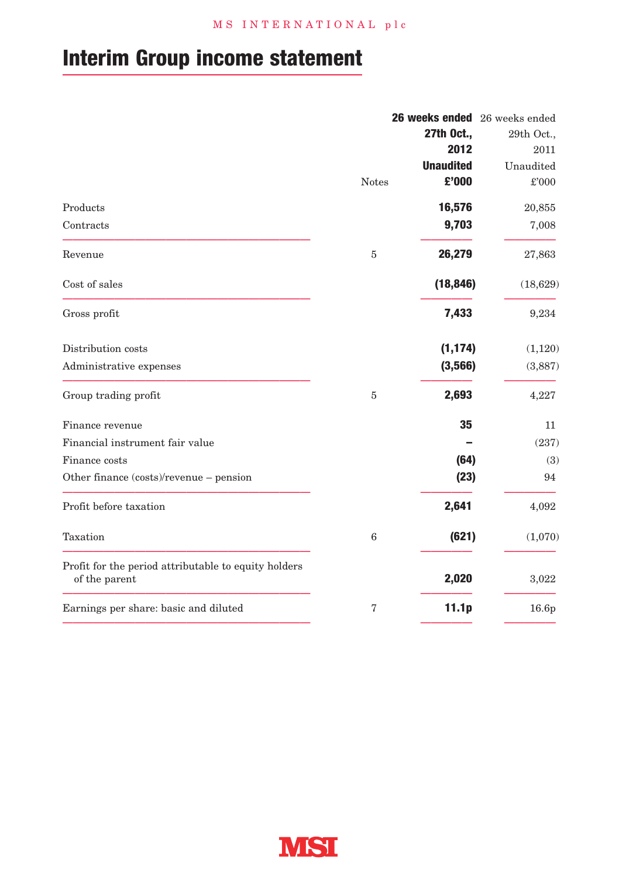# **Interim Group income statement**

|                                                                       |              |                  | 26 weeks ended 26 weeks ended |
|-----------------------------------------------------------------------|--------------|------------------|-------------------------------|
|                                                                       |              | 27th Oct         | 29th Oct.,                    |
|                                                                       |              | 2012             | 2011                          |
|                                                                       |              | <b>Unaudited</b> | Unaudited                     |
|                                                                       | <b>Notes</b> | £'000            | £'000                         |
| Products                                                              |              | 16,576           | 20,855                        |
| Contracts                                                             |              | 9,703            | 7,008                         |
| Revenue                                                               | 5            | 26,279           | 27,863                        |
| Cost of sales                                                         |              | (18, 846)        | (18, 629)                     |
| Gross profit                                                          |              | 7,433            | 9,234                         |
| Distribution costs                                                    |              | (1, 174)         | (1,120)                       |
| Administrative expenses                                               |              | (3,566)          | (3,887)                       |
| Group trading profit                                                  | $\mathbf 5$  | 2,693            | 4,227                         |
| Finance revenue                                                       |              | 35               | 11                            |
| Financial instrument fair value                                       |              |                  | (237)                         |
| Finance costs                                                         |              | (64)             | (3)                           |
| Other finance (costs)/revenue - pension                               |              | (23)             | 94                            |
| Profit before taxation                                                |              | 2,641            | 4,092                         |
| Taxation                                                              | $\,6$        | (621)            | (1,070)                       |
| Profit for the period attributable to equity holders<br>of the parent |              | 2,020            | 3,022                         |
| Earnings per share: basic and diluted                                 | 7            | 11.1p            | 16.6p                         |
|                                                                       |              |                  |                               |

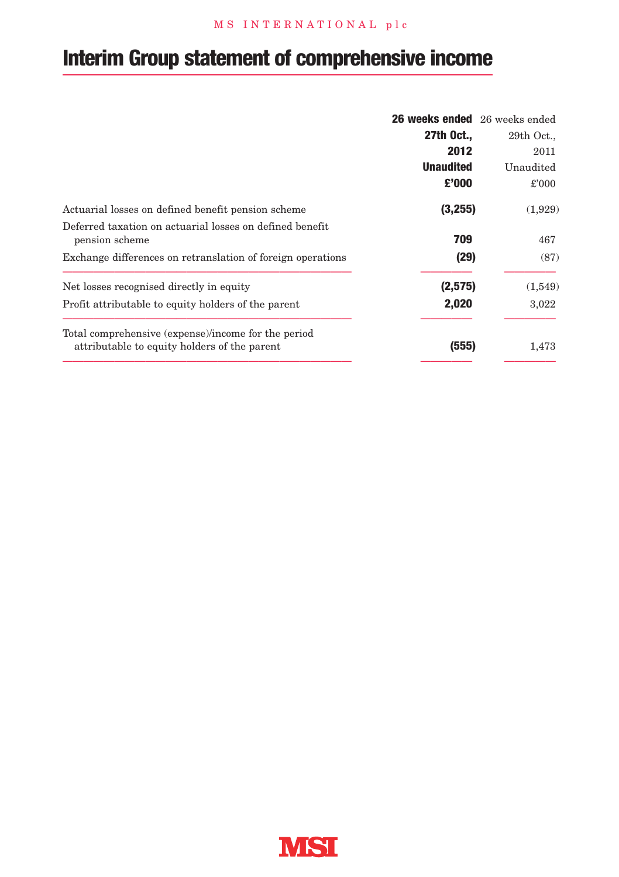## M S I N T E R N A T I O N A L p l c

# **Interim Group statement of comprehensive income**

|                                                                                                     | 26 weeks ended 26 weeks ended |              |
|-----------------------------------------------------------------------------------------------------|-------------------------------|--------------|
|                                                                                                     | 27th Oct.,                    | $29th$ Oct., |
|                                                                                                     | 2012                          | 2011         |
|                                                                                                     | <b>Unaudited</b>              | Unaudited    |
|                                                                                                     | £'000                         | £'000        |
| Actuarial losses on defined benefit pension scheme                                                  | (3,255)                       | (1,929)      |
| Deferred taxation on actuarial losses on defined benefit<br>pension scheme                          | 709                           | 467          |
| Exchange differences on retranslation of foreign operations                                         | (29)                          | (87)         |
| Net losses recognised directly in equity                                                            | (2,575)                       | (1,549)      |
| Profit attributable to equity holders of the parent                                                 | 2,020                         | 3,022        |
| Total comprehensive (expense)/income for the period<br>attributable to equity holders of the parent | (555)                         | 1,473        |

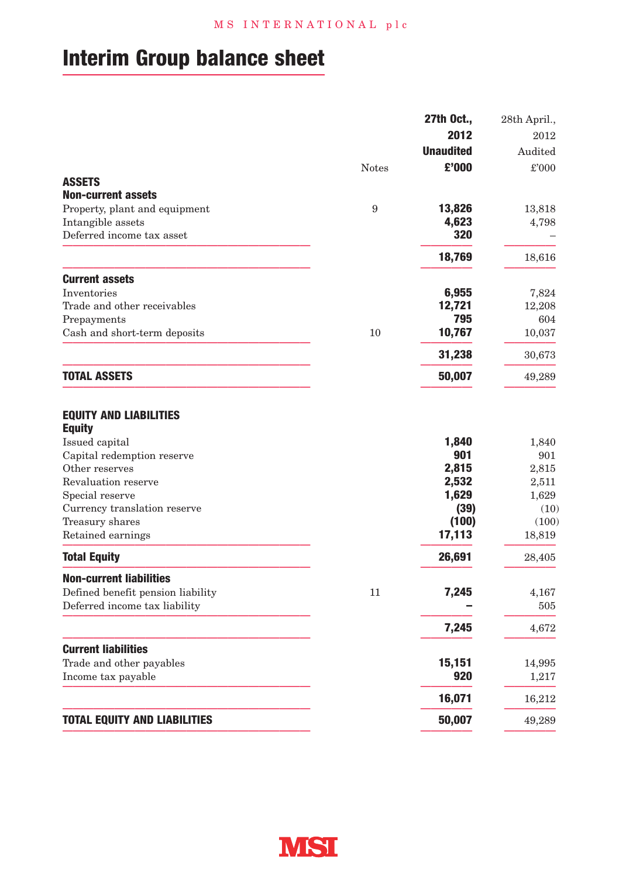# **Interim Group balance sheet**

|                                                                                                                                                                                                                                    |              | 27th Oct.,                                                         | 28th April.,                                                       |
|------------------------------------------------------------------------------------------------------------------------------------------------------------------------------------------------------------------------------------|--------------|--------------------------------------------------------------------|--------------------------------------------------------------------|
|                                                                                                                                                                                                                                    |              | 2012                                                               | 2012                                                               |
|                                                                                                                                                                                                                                    |              | <b>Unaudited</b>                                                   | Audited                                                            |
|                                                                                                                                                                                                                                    | <b>Notes</b> | £'000                                                              | £'000                                                              |
| <b>ASSETS</b>                                                                                                                                                                                                                      |              |                                                                    |                                                                    |
| <b>Non-current assets</b>                                                                                                                                                                                                          |              |                                                                    |                                                                    |
| Property, plant and equipment                                                                                                                                                                                                      | 9            | 13,826                                                             | 13,818                                                             |
| Intangible assets                                                                                                                                                                                                                  |              | 4,623                                                              | 4,798                                                              |
| Deferred income tax asset                                                                                                                                                                                                          |              | 320                                                                |                                                                    |
|                                                                                                                                                                                                                                    |              | 18,769                                                             | 18,616                                                             |
| <b>Current assets</b>                                                                                                                                                                                                              |              |                                                                    |                                                                    |
| Inventories                                                                                                                                                                                                                        |              | 6,955                                                              | 7,824                                                              |
| Trade and other receivables                                                                                                                                                                                                        |              | 12,721                                                             | 12,208                                                             |
| Prepayments                                                                                                                                                                                                                        |              | 795                                                                | 604                                                                |
| Cash and short-term deposits                                                                                                                                                                                                       | 10           | 10,767                                                             | 10,037                                                             |
|                                                                                                                                                                                                                                    |              | 31,238                                                             | 30,673                                                             |
| <b>TOTAL ASSETS</b>                                                                                                                                                                                                                |              | 50,007                                                             | 49,289                                                             |
| <b>EQUITY AND LIABILITIES</b><br><b>Equity</b><br>Issued capital<br>Capital redemption reserve<br>Other reserves<br>Revaluation reserve<br>Special reserve<br>Currency translation reserve<br>Treasury shares<br>Retained earnings |              | 1,840<br>901<br>2,815<br>2,532<br>1,629<br>(39)<br>(100)<br>17,113 | 1,840<br>901<br>2,815<br>2,511<br>1,629<br>(10)<br>(100)<br>18,819 |
| <b>Total Equity</b>                                                                                                                                                                                                                |              | 26,691                                                             | 28,405                                                             |
| <b>Non-current liabilities</b>                                                                                                                                                                                                     |              |                                                                    |                                                                    |
| Defined benefit pension liability                                                                                                                                                                                                  | 11           | 7,245                                                              | 4,167                                                              |
| Deferred income tax liability                                                                                                                                                                                                      |              |                                                                    | 505                                                                |
|                                                                                                                                                                                                                                    |              | 7,245                                                              | 4,672                                                              |
| <b>Current liabilities</b>                                                                                                                                                                                                         |              |                                                                    |                                                                    |
| Trade and other payables                                                                                                                                                                                                           |              | 15,151                                                             | 14,995                                                             |
| Income tax payable                                                                                                                                                                                                                 |              | 920                                                                | 1,217                                                              |
|                                                                                                                                                                                                                                    |              | 16,071                                                             | 16,212                                                             |
| <b>TOTAL EQUITY AND LIABILITIES</b>                                                                                                                                                                                                |              | 50,007                                                             | 49,289                                                             |

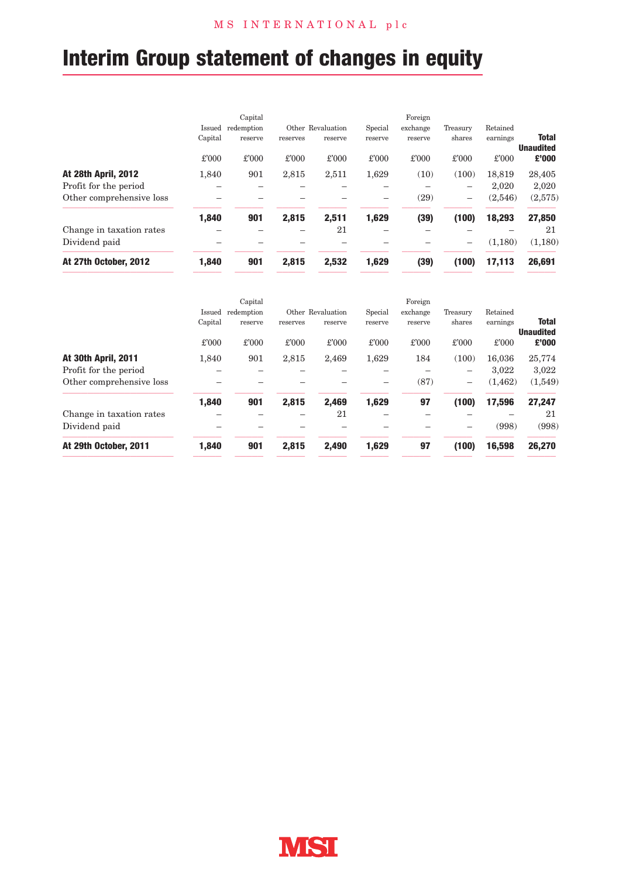# **Interim Group statement of changes in equity**

|                            |         | Capital    |          |                   |         | Foreign  |                          |          |                                  |
|----------------------------|---------|------------|----------|-------------------|---------|----------|--------------------------|----------|----------------------------------|
|                            | Issued  | redemption |          | Other Revaluation | Special | exchange | Treasury                 | Retained |                                  |
|                            | Capital | reserve    | reserves | reserve           | reserve | reserve  | shares                   | earnings | <b>Total</b><br><b>Unaudited</b> |
|                            | £'000   | £'000      | £'000    | £'000             | £'000   | £'000    | £'000                    | £'000    | £'000                            |
| <b>At 28th April, 2012</b> | 1.840   | 901        | 2,815    | 2,511             | 1.629   | (10)     | (100)                    | 18.819   | 28,405                           |
| Profit for the period      |         |            |          |                   |         |          | $\overline{\phantom{0}}$ | 2.020    | 2.020                            |
| Other comprehensive loss   |         |            |          |                   |         | (29)     | $\overline{\phantom{0}}$ | (2,546)  | (2,575)                          |
|                            | 1,840   | 901        | 2,815    | 2,511             | 1,629   | (39)     | (100)                    | 18,293   | 27,850                           |
| Change in taxation rates   |         |            |          | 21                |         |          |                          |          | 21                               |
| Dividend paid              |         |            |          |                   |         |          | $\overline{\phantom{a}}$ | (1,180)  | (1,180)                          |
| At 27th October, 2012      | 1.840   | 901        | 2.815    | 2.532             | 1.629   | (39)     | (100)                    | 17,113   | 26,691                           |

| At 29th October, 2011    | 1.840   | 901        | 2.815    | 2.490             | 1,629   | 97       | (100)                    | 16.598   | 26,270                           |
|--------------------------|---------|------------|----------|-------------------|---------|----------|--------------------------|----------|----------------------------------|
| Dividend paid            |         |            |          |                   |         |          |                          | (998)    | (998)                            |
| Change in taxation rates |         |            |          | 21                |         |          |                          |          | 21                               |
|                          | 1,840   | 901        | 2,815    | 2,469             | 1,629   | 97       | (100)                    | 17,596   | 27,247                           |
| Other comprehensive loss |         |            |          |                   |         | (87)     | $\overline{\phantom{0}}$ | (1.462)  | (1,549)                          |
| Profit for the period    |         |            |          |                   |         |          | -                        | 3.022    | 3.022                            |
| At 30th April, 2011      | 1.840   | 901        | 2,815    | 2,469             | 1.629   | 184      | (100)                    | 16.036   | 25,774                           |
|                          | £'000   | £'000      | £'000    | £'000             | £'000   | £'000    | £'000                    | £'000    | £'000                            |
|                          | Capital | reserve    | reserves | reserve           | reserve | reserve  | shares                   | earnings | <b>Total</b><br><b>Unaudited</b> |
|                          | Issued  | redemption |          | Other Revaluation | Special | exchange | Treasury                 | Retained |                                  |
|                          |         | Capital    |          |                   |         | Foreign  |                          |          |                                  |

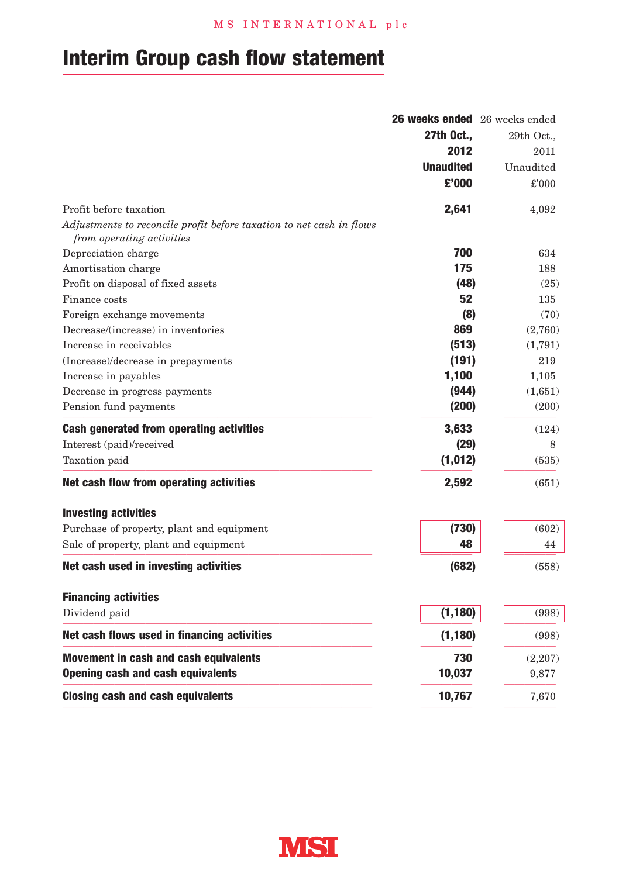# **Interim Group cash flow statement**

|                                                                                                   | 26 weeks ended 26 weeks ended |            |
|---------------------------------------------------------------------------------------------------|-------------------------------|------------|
|                                                                                                   | 27th Oct.,                    | 29th Oct., |
|                                                                                                   | 2012                          | 2011       |
|                                                                                                   | <b>Unaudited</b>              | Unaudited  |
|                                                                                                   | £'000                         | £'000      |
| Profit before taxation                                                                            | 2,641                         | 4,092      |
| Adjustments to reconcile profit before taxation to net cash in flows<br>from operating activities |                               |            |
| Depreciation charge                                                                               | 700                           | 634        |
| Amortisation charge                                                                               | 175                           | 188        |
| Profit on disposal of fixed assets                                                                | (48)                          | (25)       |
| Finance costs                                                                                     | 52                            | 135        |
| Foreign exchange movements                                                                        | (8)                           | (70)       |
| Decrease/(increase) in inventories                                                                | 869                           | (2,760)    |
| Increase in receivables                                                                           | (513)                         | (1,791)    |
| (Increase)/decrease in prepayments                                                                | (191)                         | 219        |
| Increase in payables                                                                              | 1,100                         | 1,105      |
| Decrease in progress payments                                                                     | (944)                         | (1,651)    |
| Pension fund payments                                                                             | (200)                         | (200)      |
| Cash generated from operating activities                                                          | 3,633                         | (124)      |
| Interest (paid)/received                                                                          | (29)                          | 8          |
| Taxation paid                                                                                     | (1, 012)                      | (535)      |
| Net cash flow from operating activities                                                           | 2,592                         | (651)      |
| <b>Investing activities</b>                                                                       |                               |            |
| Purchase of property, plant and equipment                                                         | (730)                         | (602)      |
| Sale of property, plant and equipment                                                             | 48                            | 44         |
| Net cash used in investing activities                                                             | (682)                         | (558)      |
| <b>Financing activities</b>                                                                       |                               |            |
| Dividend paid                                                                                     | (1, 180)                      | (998)      |
| Net cash flows used in financing activities                                                       | (1, 180)                      | (998)      |
| Movement in cash and cash equivalents                                                             | 730                           | (2,207)    |
| <b>Opening cash and cash equivalents</b>                                                          | 10,037                        | 9,877      |
| <b>Closing cash and cash equivalents</b>                                                          | 10,767                        | 7,670      |

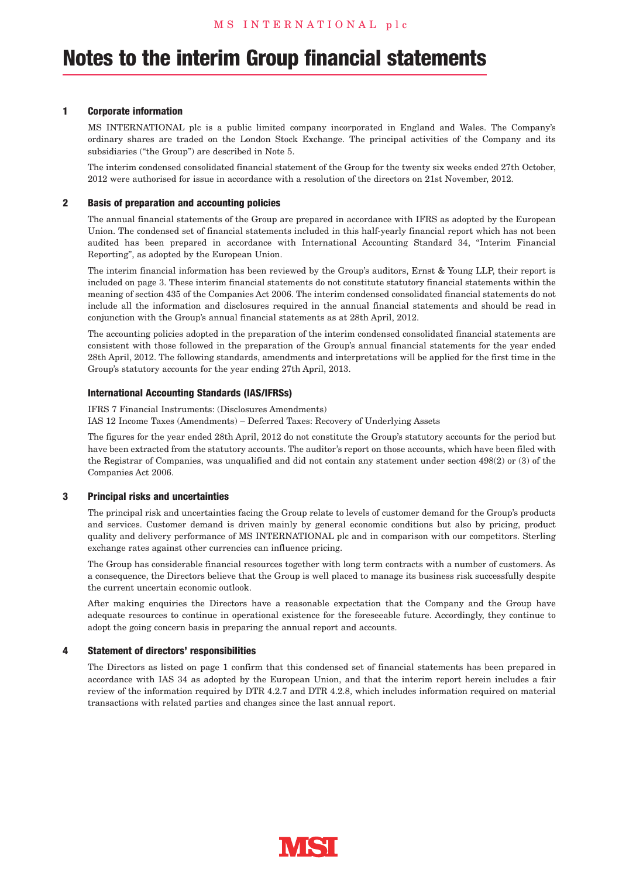#### **1 Corporate information**

MS INTERNATIONAL plc is a public limited company incorporated in England and Wales. The Company's ordinary shares are traded on the London Stock Exchange. The principal activities of the Company and its subsidiaries ("the Group") are described in Note 5.

The interim condensed consolidated financial statement of the Group for the twenty six weeks ended 27th October, 2012 were authorised for issue in accordance with a resolution of the directors on 21st November, 2012.

#### **2 Basis of preparation and accounting policies**

The annual financial statements of the Group are prepared in accordance with IFRS as adopted by the European Union. The condensed set of financial statements included in this half-yearly financial report which has not been audited has been prepared in accordance with International Accounting Standard 34, "Interim Financial Reporting", as adopted by the European Union.

The interim financial information has been reviewed by the Group's auditors, Ernst & Young LLP, their report is included on page 3. These interim financial statements do not constitute statutory financial statements within the meaning of section 435 of the Companies Act 2006. The interim condensed consolidated financial statements do not include all the information and disclosures required in the annual financial statements and should be read in conjunction with the Group's annual financial statements as at 28th April, 2012.

The accounting policies adopted in the preparation of the interim condensed consolidated financial statements are consistent with those followed in the preparation of the Group's annual financial statements for the year ended 28th April, 2012. The following standards, amendments and interpretations will be applied for the first time in the Group's statutory accounts for the year ending 27th April, 2013.

#### **International Accounting Standards (IAS/IFRSs)**

IFRS 7 Financial Instruments: (Disclosures Amendments) IAS 12 Income Taxes (Amendments) – Deferred Taxes: Recovery of Underlying Assets

The figures for the year ended 28th April, 2012 do not constitute the Group's statutory accounts for the period but have been extracted from the statutory accounts. The auditor's report on those accounts, which have been filed with the Registrar of Companies, was unqualified and did not contain any statement under section 498(2) or (3) of the Companies Act 2006.

#### **3 Principal risks and uncertainties**

The principal risk and uncertainties facing the Group relate to levels of customer demand for the Group's products and services. Customer demand is driven mainly by general economic conditions but also by pricing, product quality and delivery performance of MS INTERNATIONAL plc and in comparison with our competitors. Sterling exchange rates against other currencies can influence pricing.

The Group has considerable financial resources together with long term contracts with a number of customers. As a consequence, the Directors believe that the Group is well placed to manage its business risk successfully despite the current uncertain economic outlook.

After making enquiries the Directors have a reasonable expectation that the Company and the Group have adequate resources to continue in operational existence for the foreseeable future. Accordingly, they continue to adopt the going concern basis in preparing the annual report and accounts.

#### **4 Statement of directors' responsibilities**

The Directors as listed on page 1 confirm that this condensed set of financial statements has been prepared in accordance with IAS 34 as adopted by the European Union, and that the interim report herein includes a fair review of the information required by DTR 4.2.7 and DTR 4.2.8, which includes information required on material transactions with related parties and changes since the last annual report.

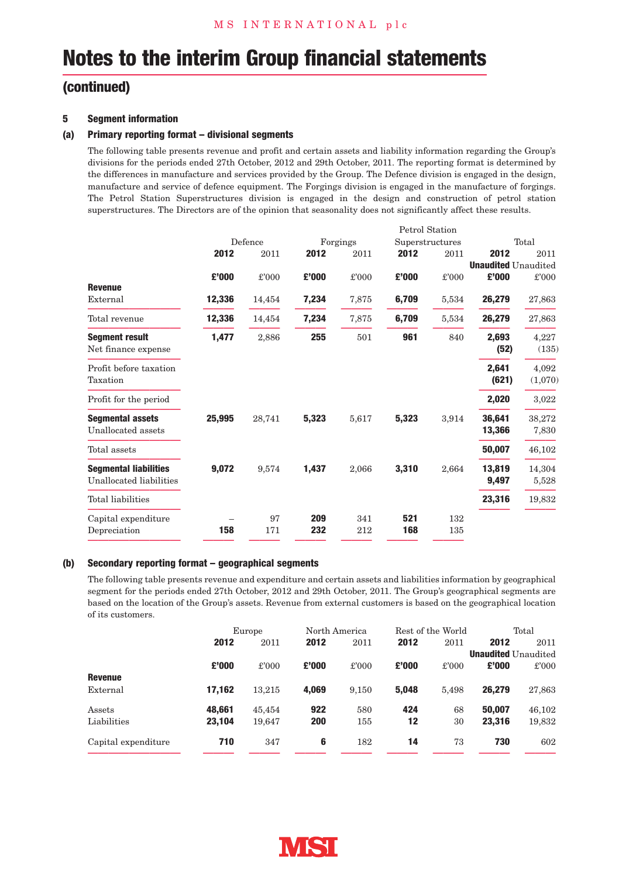## **(continued)**

#### **5 Segment information**

#### **(a) Primary reporting format – divisional segments**

The following table presents revenue and profit and certain assets and liability information regarding the Group's divisions for the periods ended 27th October, 2012 and 29th October, 2011. The reporting format is determined by the differences in manufacture and services provided by the Group. The Defence division is engaged in the design, manufacture and service of defence equipment. The Forgings division is engaged in the manufacture of forgings. The Petrol Station Superstructures division is engaged in the design and construction of petrol station superstructures. The Directors are of the opinion that seasonality does not significantly affect these results.

|                                                         | Defence |           |            | Forgings<br>Superstructures |            |            |                            | Total            |  |
|---------------------------------------------------------|---------|-----------|------------|-----------------------------|------------|------------|----------------------------|------------------|--|
|                                                         | 2012    | 2011      | 2012       | 2011                        | 2012       | 2011       | 2012                       | 2011             |  |
|                                                         |         |           |            |                             |            |            | <b>Unaudited Unaudited</b> |                  |  |
|                                                         | £'000   | £'000     | £'000      | £'000                       | £'000      | £'000      | £'000                      | £'000            |  |
| <b>Revenue</b><br>External                              | 12,336  | 14,454    | 7,234      | 7,875                       | 6,709      | 5,534      | 26,279                     | 27,863           |  |
| Total revenue                                           | 12,336  | 14,454    | 7,234      | 7,875                       | 6,709      | 5,534      | 26,279                     | 27,863           |  |
| <b>Segment result</b><br>Net finance expense            | 1,477   | 2,886     | 255        | 501                         | 961        | 840        | 2,693<br>(52)              | 4,227<br>(135)   |  |
| Profit before taxation<br>Taxation                      |         |           |            |                             |            |            | 2,641<br>(621)             | 4,092<br>(1,070) |  |
| Profit for the period                                   |         |           |            |                             |            |            | 2,020                      | 3,022            |  |
| <b>Segmental assets</b><br>Unallocated assets           | 25,995  | 28,741    | 5,323      | 5,617                       | 5,323      | 3,914      | 36,641<br>13,366           | 38,272<br>7,830  |  |
| Total assets                                            |         |           |            |                             |            |            | 50,007                     | 46,102           |  |
| <b>Segmental liabilities</b><br>Unallocated liabilities | 9,072   | 9.574     | 1,437      | 2,066                       | 3,310      | 2.664      | 13,819<br>9,497            | 14,304<br>5,528  |  |
| <b>Total liabilities</b>                                |         |           |            |                             |            |            | 23,316                     | 19,832           |  |
| Capital expenditure<br>Depreciation                     | 158     | 97<br>171 | 209<br>232 | 341<br>212                  | 521<br>168 | 132<br>135 |                            |                  |  |

#### **(b) Secondary reporting format – geographical segments**

The following table presents revenue and expenditure and certain assets and liabilities information by geographical segment for the periods ended 27th October, 2012 and 29th October, 2011. The Group's geographical segments are based on the location of the Group's assets. Revenue from external customers is based on the geographical location of its customers.

|                     | Europe |        | North America |       | Rest of the World |       | Total  |                            |
|---------------------|--------|--------|---------------|-------|-------------------|-------|--------|----------------------------|
|                     | 2012   | 2011   | 2012          | 2011  | 2012              | 2011  | 2012   | 2011                       |
|                     |        |        |               |       |                   |       |        | <b>Unaudited</b> Unaudited |
|                     | £'000  | £'000  | £'000         | £'000 | £'000             | £'000 | £'000  | £'000                      |
| Revenue             |        |        |               |       |                   |       |        |                            |
| External            | 17.162 | 13.215 | 4.069         | 9.150 | 5.048             | 5.498 | 26,279 | 27,863                     |
| Assets              | 48.661 | 45.454 | 922           | 580   | 424               | 68    | 50,007 | 46.102                     |
| Liabilities         | 23.104 | 19.647 | 200           | 155   | 12                | 30    | 23.316 | 19,832                     |
| Capital expenditure | 710    | 347    | 6             | 182   | 14                | 73    | 730    | 602                        |

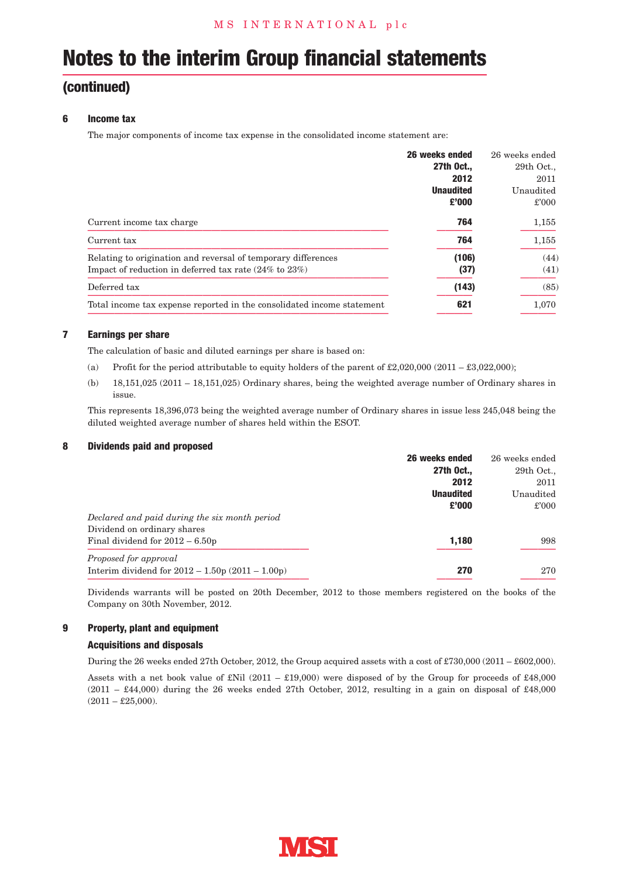### **(continued)**

#### **6 Income tax**

The major components of income tax expense in the consolidated income statement are:

|                                                                        | 26 weeks ended   | 26 weeks ended |
|------------------------------------------------------------------------|------------------|----------------|
|                                                                        | 27th Oct         | 29th Oct.,     |
|                                                                        | 2012             | 2011           |
|                                                                        | <b>Unaudited</b> | Unaudited      |
|                                                                        | £'000            | £'000          |
| Current income tax charge                                              | 764              | 1,155          |
| Current tax                                                            | 764              | 1,155          |
| Relating to origination and reversal of temporary differences          | (106)            | (44)           |
| Impact of reduction in deferred tax rate $(24\%$ to $23\%)$            | (37)             | (41)           |
| Deferred tax                                                           | (143)            | (85)           |
| Total income tax expense reported in the consolidated income statement | 621              | 1,070          |

#### **7 Earnings per share**

The calculation of basic and diluted earnings per share is based on:

- (a) Profit for the period attributable to equity holders of the parent of £2,020,000 (2011 £3,022,000);
- (b) 18,151,025 (2011 18,151,025) Ordinary shares, being the weighted average number of Ordinary shares in issue.

This represents 18,396,073 being the weighted average number of Ordinary shares in issue less 245,048 being the diluted weighted average number of shares held within the ESOT.

#### **8 Dividends paid and proposed**

|                                                   | 26 weeks ended   | 26 weeks ended |
|---------------------------------------------------|------------------|----------------|
|                                                   | 27th Oct         | 29th Oct.,     |
|                                                   | 2012             | 2011           |
|                                                   | <b>Unaudited</b> | Unaudited      |
|                                                   | £'000            | £'000          |
| Declared and paid during the six month period     |                  |                |
| Dividend on ordinary shares                       |                  |                |
| Final dividend for $2012 - 6.50p$                 | 1.180            | 998            |
| Proposed for approval                             |                  |                |
| Interim dividend for $2012 - 1.50p(2011 - 1.00p)$ | 270              | 270            |

Dividends warrants will be posted on 20th December, 2012 to those members registered on the books of the Company on 30th November, 2012.

#### **9 Property, plant and equipment**

#### **Acquisitions and disposals**

During the 26 weeks ended 27th October, 2012, the Group acquired assets with a cost of £730,000 (2011 – £602,000).

Assets with a net book value of £Nil (2011 – £19,000) were disposed of by the Group for proceeds of £48,000 (2011 – £44,000) during the 26 weeks ended 27th October, 2012, resulting in a gain on disposal of £48,000  $(2011 - \text{\pounds}25,000).$ 

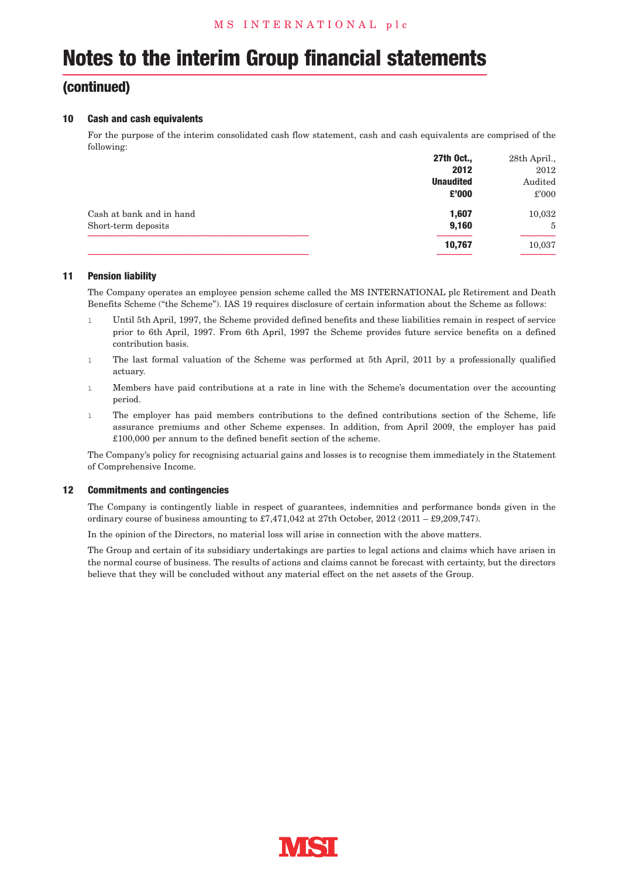## **(continued)**

#### **10 Cash and cash equivalents**

For the purpose of the interim consolidated cash flow statement, cash and cash equivalents are comprised of the following:

|                          | 27th Oct.,       | 28th April., |
|--------------------------|------------------|--------------|
|                          | 2012             | 2012         |
|                          | <b>Unaudited</b> | Audited      |
|                          | £'000            | £'000        |
| Cash at bank and in hand | 1.607            | 10,032       |
| Short-term deposits      | 9,160            | 5            |
|                          | 10,767           | 10,037       |
|                          |                  |              |

#### **11 Pension liability**

The Company operates an employee pension scheme called the MS INTERNATIONAL plc Retirement and Death Benefits Scheme ("the Scheme"). IAS 19 requires disclosure of certain information about the Scheme as follows:

- l Until 5th April, 1997, the Scheme provided defined benefits and these liabilities remain in respect of service prior to 6th April, 1997. From 6th April, 1997 the Scheme provides future service benefits on a defined contribution basis.
- l The last formal valuation of the Scheme was performed at 5th April, 2011 by a professionally qualified actuary.
- l Members have paid contributions at a rate in line with the Scheme's documentation over the accounting period.
- l The employer has paid members contributions to the defined contributions section of the Scheme, life assurance premiums and other Scheme expenses. In addition, from April 2009, the employer has paid £100,000 per annum to the defined benefit section of the scheme.

The Company's policy for recognising actuarial gains and losses is to recognise them immediately in the Statement of Comprehensive Income.

#### **12 Commitments and contingencies**

The Company is contingently liable in respect of guarantees, indemnities and performance bonds given in the ordinary course of business amounting to £7,471,042 at 27th October, 2012 (2011 – £9,209,747).

In the opinion of the Directors, no material loss will arise in connection with the above matters.

The Group and certain of its subsidiary undertakings are parties to legal actions and claims which have arisen in the normal course of business. The results of actions and claims cannot be forecast with certainty, but the directors believe that they will be concluded without any material effect on the net assets of the Group.